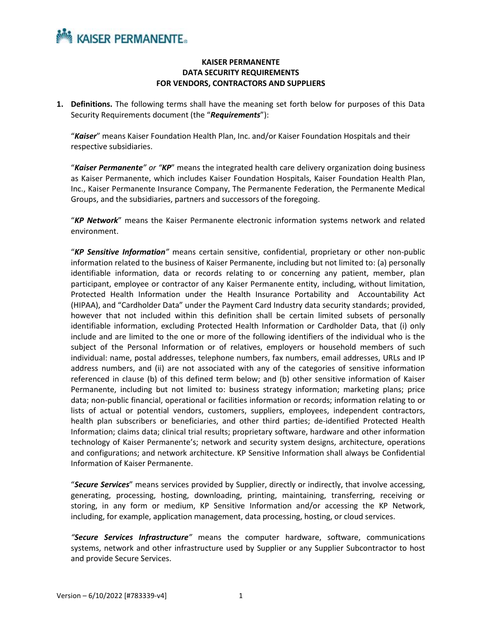

### **KAISER PERMANENTE DATA SECURITY REQUIREMENTS FOR VENDORS, CONTRACTORS AND SUPPLIERS**

**1. Definitions.** The following terms shall have the meaning set forth below for purposes of this Data Security Requirements document (the "*Requirements*"):

"*Kaiser*" means Kaiser Foundation Health Plan, Inc. and/or Kaiser Foundation Hospitals and their respective subsidiaries.

"*Kaiser Permanente" or "KP*" means the integrated health care delivery organization doing business as Kaiser Permanente, which includes Kaiser Foundation Hospitals, Kaiser Foundation Health Plan, Inc., Kaiser Permanente Insurance Company, The Permanente Federation, the Permanente Medical Groups, and the subsidiaries, partners and successors of the foregoing.

"*KP Network*" means the Kaiser Permanente electronic information systems network and related environment.

"*KP Sensitive Information"* means certain sensitive, confidential, proprietary or other non-public information related to the business of Kaiser Permanente, including but not limited to: (a) personally identifiable information, data or records relating to or concerning any patient, member, plan participant, employee or contractor of any Kaiser Permanente entity, including, without limitation, Protected Health Information under the Health Insurance Portability and Accountability Act (HIPAA), and "Cardholder Data" under the Payment Card Industry data security standards; provided, however that not included within this definition shall be certain limited subsets of personally identifiable information, excluding Protected Health Information or Cardholder Data, that (i) only include and are limited to the one or more of the following identifiers of the individual who is the subject of the Personal Information or of relatives, employers or household members of such individual: name, postal addresses, telephone numbers, fax numbers, email addresses, URLs and IP address numbers, and (ii) are not associated with any of the categories of sensitive information referenced in clause (b) of this defined term below; and (b) other sensitive information of Kaiser Permanente, including but not limited to: business strategy information; marketing plans; price data; non-public financial, operational or facilities information or records; information relating to or lists of actual or potential vendors, customers, suppliers, employees, independent contractors, health plan subscribers or beneficiaries, and other third parties; de-identified Protected Health Information; claims data; clinical trial results; proprietary software, hardware and other information technology of Kaiser Permanente's; network and security system designs, architecture, operations and configurations; and network architecture. KP Sensitive Information shall always be Confidential Information of Kaiser Permanente.

"*Secure Services*" means services provided by Supplier, directly or indirectly, that involve accessing, generating, processing, hosting, downloading, printing, maintaining, transferring, receiving or storing, in any form or medium, KP Sensitive Information and/or accessing the KP Network, including, for example, application management, data processing, hosting, or cloud services.

*"Secure Services Infrastructure"* means the computer hardware, software, communications systems, network and other infrastructure used by Supplier or any Supplier Subcontractor to host and provide Secure Services.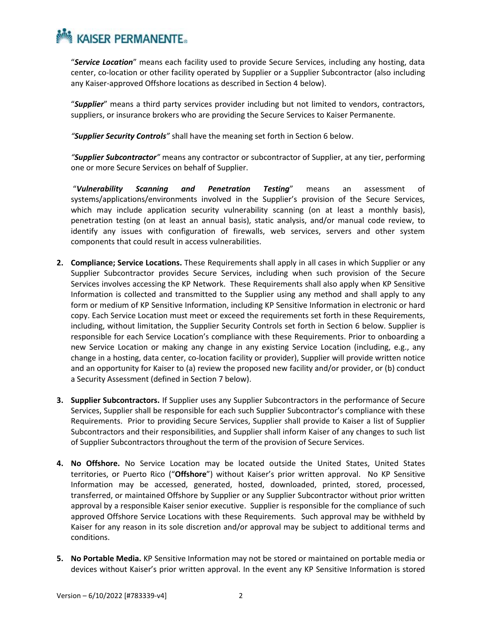"*Service Location*" means each facility used to provide Secure Services, including any hosting, data center, co‐location or other facility operated by Supplier or a Supplier Subcontractor (also including any Kaiser-approved Offshore locations as described in Section 4 below).

"*Supplier*" means a third party services provider including but not limited to vendors, contractors, suppliers, or insurance brokers who are providing the Secure Services to Kaiser Permanente.

*"Supplier Security Controls"* shall have the meaning set forth in Section 6 below.

*"Supplier Subcontractor"* means any contractor or subcontractor of Supplier, at any tier, performing one or more Secure Services on behalf of Supplier.

"*Vulnerability Scanning and Penetration Testing*" means an assessment of systems/applications/environments involved in the Supplier's provision of the Secure Services, which may include application security vulnerability scanning (on at least a monthly basis), penetration testing (on at least an annual basis), static analysis, and/or manual code review, to identify any issues with configuration of firewalls, web services, servers and other system components that could result in access vulnerabilities.

- **2. Compliance; Service Locations.** These Requirements shall apply in all cases in which Supplier or any Supplier Subcontractor provides Secure Services, including when such provision of the Secure Services involves accessing the KP Network. These Requirements shall also apply when KP Sensitive Information is collected and transmitted to the Supplier using any method and shall apply to any form or medium of KP Sensitive Information, including KP Sensitive Information in electronic or hard copy. Each Service Location must meet or exceed the requirements set forth in these Requirements, including, without limitation, the Supplier Security Controls set forth in Section 6 below. Supplier is responsible for each Service Location's compliance with these Requirements. Prior to onboarding a new Service Location or making any change in any existing Service Location (including, e.g., any change in a hosting, data center, co‐location facility or provider), Supplier will provide written notice and an opportunity for Kaiser to (a) review the proposed new facility and/or provider, or (b) conduct a Security Assessment (defined in Section 7 below).
- **3. Supplier Subcontractors.** If Supplier uses any Supplier Subcontractors in the performance of Secure Services, Supplier shall be responsible for each such Supplier Subcontractor's compliance with these Requirements. Prior to providing Secure Services, Supplier shall provide to Kaiser a list of Supplier Subcontractors and their responsibilities, and Supplier shall inform Kaiser of any changes to such list of Supplier Subcontractors throughout the term of the provision of Secure Services.
- **4. No Offshore.** No Service Location may be located outside the United States, United States territories, or Puerto Rico ("**Offshore**") without Kaiser's prior written approval. No KP Sensitive Information may be accessed, generated, hosted, downloaded, printed, stored, processed, transferred, or maintained Offshore by Supplier or any Supplier Subcontractor without prior written approval by a responsible Kaiser senior executive. Supplier is responsible for the compliance of such approved Offshore Service Locations with these Requirements. Such approval may be withheld by Kaiser for any reason in its sole discretion and/or approval may be subject to additional terms and conditions.
- **5. No Portable Media.** KP Sensitive Information may not be stored or maintained on portable media or devices without Kaiser's prior written approval. In the event any KP Sensitive Information is stored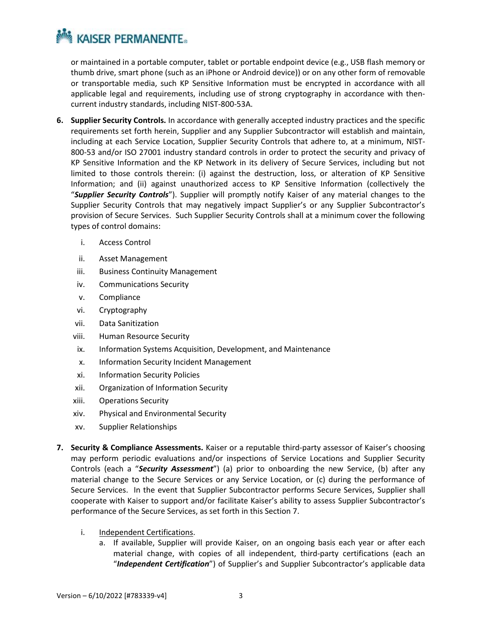or maintained in a portable computer, tablet or portable endpoint device (e.g., USB flash memory or thumb drive, smart phone (such as an iPhone or Android device)) or on any other form of removable or transportable media, such KP Sensitive Information must be encrypted in accordance with all applicable legal and requirements, including use of strong cryptography in accordance with thencurrent industry standards, including NIST-800-53A.

- **6. Supplier Security Controls.** In accordance with generally accepted industry practices and the specific requirements set forth herein, Supplier and any Supplier Subcontractor will establish and maintain, including at each Service Location, Supplier Security Controls that adhere to, at a minimum, NIST-800-53 and/or ISO 27001 industry standard controls in order to protect the security and privacy of KP Sensitive Information and the KP Network in its delivery of Secure Services, including but not limited to those controls therein: (i) against the destruction, loss, or alteration of KP Sensitive Information; and (ii) against unauthorized access to KP Sensitive Information (collectively the "*Supplier Security Controls*"). Supplier will promptly notify Kaiser of any material changes to the Supplier Security Controls that may negatively impact Supplier's or any Supplier Subcontractor's provision of Secure Services. Such Supplier Security Controls shall at a minimum cover the following types of control domains:
	- i. Access Control
	- ii. Asset Management
	- iii. Business Continuity Management
	- iv. Communications Security
	- v. Compliance
	- vi. Cryptography
	- vii. Data Sanitization
	- viii. Human Resource Security
	- ix. Information Systems Acquisition, Development, and Maintenance
	- x. Information Security Incident Management
	- xi. Information Security Policies
	- xii. Organization of Information Security
	- xiii. Operations Security
	- xiv. Physical and Environmental Security
	- xv. Supplier Relationships
- **7. Security & Compliance Assessments.** Kaiser or a reputable third-party assessor of Kaiser's choosing may perform periodic evaluations and/or inspections of Service Locations and Supplier Security Controls (each a "*Security Assessment*") (a) prior to onboarding the new Service, (b) after any material change to the Secure Services or any Service Location, or (c) during the performance of Secure Services. In the event that Supplier Subcontractor performs Secure Services, Supplier shall cooperate with Kaiser to support and/or facilitate Kaiser's ability to assess Supplier Subcontractor's performance of the Secure Services, as set forth in this Section 7.

### i. Independent Certifications.

a. If available, Supplier will provide Kaiser, on an ongoing basis each year or after each material change, with copies of all independent, third‐party certifications (each an "*Independent Certification*") of Supplier's and Supplier Subcontractor's applicable data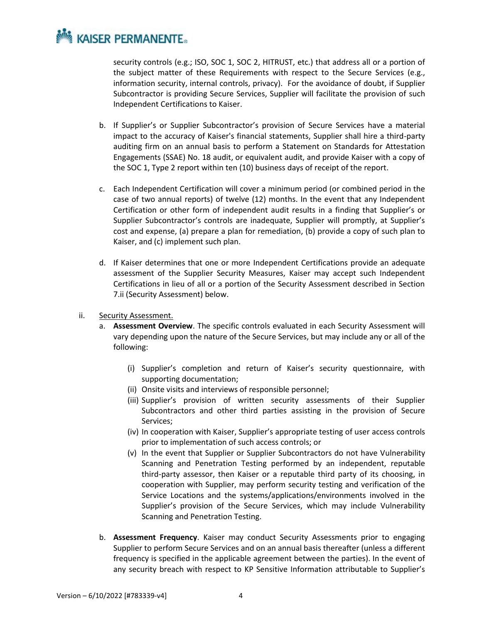security controls (e.g.; ISO, SOC 1, SOC 2, HITRUST, etc.) that address all or a portion of the subject matter of these Requirements with respect to the Secure Services (e.g., information security, internal controls, privacy). For the avoidance of doubt, if Supplier Subcontractor is providing Secure Services, Supplier will facilitate the provision of such Independent Certifications to Kaiser.

- b. If Supplier's or Supplier Subcontractor's provision of Secure Services have a material impact to the accuracy of Kaiser's financial statements, Supplier shall hire a third-party auditing firm on an annual basis to perform a Statement on Standards for Attestation Engagements (SSAE) No. 18 audit, or equivalent audit, and provide Kaiser with a copy of the SOC 1, Type 2 report within ten (10) business days of receipt of the report.
- c. Each Independent Certification will cover a minimum period (or combined period in the case of two annual reports) of twelve (12) months. In the event that any Independent Certification or other form of independent audit results in a finding that Supplier's or Supplier Subcontractor's controls are inadequate, Supplier will promptly, at Supplier's cost and expense, (a) prepare a plan for remediation, (b) provide a copy of such plan to Kaiser, and (c) implement such plan.
- d. If Kaiser determines that one or more Independent Certifications provide an adequate assessment of the Supplier Security Measures, Kaiser may accept such Independent Certifications in lieu of all or a portion of the Security Assessment described in Section 7.ii (Security Assessment) below.
- ii. Security Assessment.
	- a. **Assessment Overview**. The specific controls evaluated in each Security Assessment will vary depending upon the nature of the Secure Services, but may include any or all of the following:
		- (i) Supplier's completion and return of Kaiser's security questionnaire, with supporting documentation;
		- (ii) Onsite visits and interviews of responsible personnel;
		- (iii) Supplier's provision of written security assessments of their Supplier Subcontractors and other third parties assisting in the provision of Secure Services;
		- (iv) In cooperation with Kaiser, Supplier's appropriate testing of user access controls prior to implementation of such access controls; or
		- (v) In the event that Supplier or Supplier Subcontractors do not have Vulnerability Scanning and Penetration Testing performed by an independent, reputable third-party assessor, then Kaiser or a reputable third party of its choosing, in cooperation with Supplier, may perform security testing and verification of the Service Locations and the systems/applications/environments involved in the Supplier's provision of the Secure Services, which may include Vulnerability Scanning and Penetration Testing.
	- b. **Assessment Frequency**. Kaiser may conduct Security Assessments prior to engaging Supplier to perform Secure Services and on an annual basis thereafter (unless a different frequency is specified in the applicable agreement between the parties). In the event of any security breach with respect to KP Sensitive Information attributable to Supplier's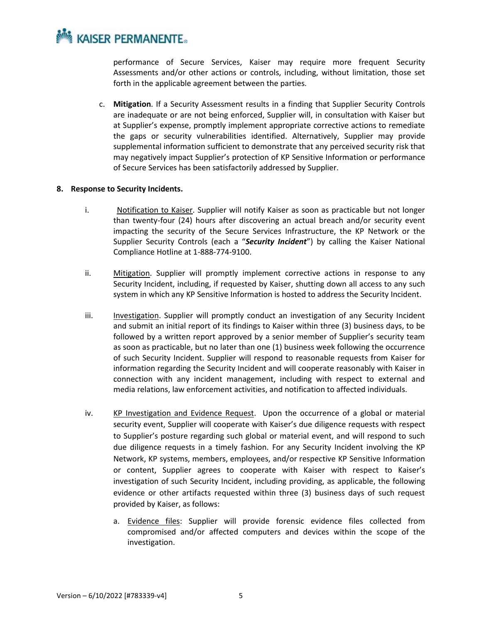performance of Secure Services, Kaiser may require more frequent Security Assessments and/or other actions or controls, including, without limitation, those set forth in the applicable agreement between the parties.

c. **Mitigation**. If a Security Assessment results in a finding that Supplier Security Controls are inadequate or are not being enforced, Supplier will, in consultation with Kaiser but at Supplier's expense, promptly implement appropriate corrective actions to remediate the gaps or security vulnerabilities identified. Alternatively, Supplier may provide supplemental information sufficient to demonstrate that any perceived security risk that may negatively impact Supplier's protection of KP Sensitive Information or performance of Secure Services has been satisfactorily addressed by Supplier.

#### **8. Response to Security Incidents.**

- i. Notification to Kaiser. Supplier will notify Kaiser as soon as practicable but not longer than twenty-four (24) hours after discovering an actual breach and/or security event impacting the security of the Secure Services Infrastructure, the KP Network or the Supplier Security Controls (each a "*Security Incident*") by calling the Kaiser National Compliance Hotline at 1-888-774-9100.
- ii. Mitigation. Supplier will promptly implement corrective actions in response to any Security Incident, including, if requested by Kaiser, shutting down all access to any such system in which any KP Sensitive Information is hosted to address the Security Incident.
- iii. Investigation. Supplier will promptly conduct an investigation of any Security Incident and submit an initial report of its findings to Kaiser within three (3) business days, to be followed by a written report approved by a senior member of Supplier's security team as soon as practicable, but no later than one (1) business week following the occurrence of such Security Incident. Supplier will respond to reasonable requests from Kaiser for information regarding the Security Incident and will cooperate reasonably with Kaiser in connection with any incident management, including with respect to external and media relations, law enforcement activities, and notification to affected individuals.
- iv. KP Investigation and Evidence Request. Upon the occurrence of a global or material security event, Supplier will cooperate with Kaiser's due diligence requests with respect to Supplier's posture regarding such global or material event, and will respond to such due diligence requests in a timely fashion. For any Security Incident involving the KP Network, KP systems, members, employees, and/or respective KP Sensitive Information or content, Supplier agrees to cooperate with Kaiser with respect to Kaiser's investigation of such Security Incident, including providing, as applicable, the following evidence or other artifacts requested within three (3) business days of such request provided by Kaiser, as follows:
	- a. Evidence files: Supplier will provide forensic evidence files collected from compromised and/or affected computers and devices within the scope of the investigation.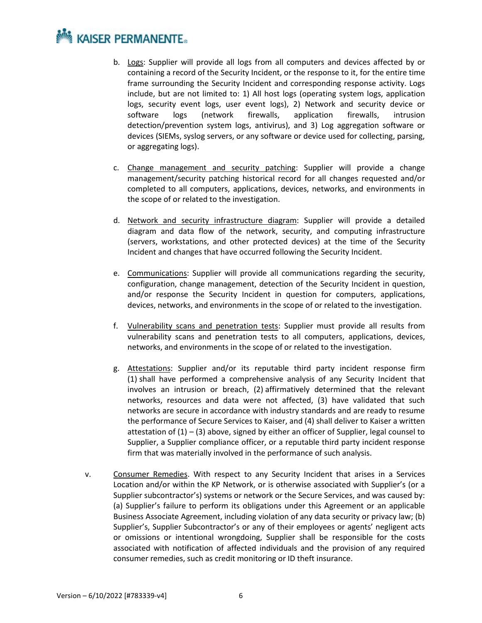# **NOW KAISER PERMANENTE.**

- b. Logs: Supplier will provide all logs from all computers and devices affected by or containing a record of the Security Incident, or the response to it, for the entire time frame surrounding the Security Incident and corresponding response activity. Logs include, but are not limited to: 1) All host logs (operating system logs, application logs, security event logs, user event logs), 2) Network and security device or software logs (network firewalls, application firewalls, intrusion detection/prevention system logs, antivirus), and 3) Log aggregation software or devices (SIEMs, syslog servers, or any software or device used for collecting, parsing, or aggregating logs).
- c. Change management and security patching: Supplier will provide a change management/security patching historical record for all changes requested and/or completed to all computers, applications, devices, networks, and environments in the scope of or related to the investigation.
- d. Network and security infrastructure diagram: Supplier will provide a detailed diagram and data flow of the network, security, and computing infrastructure (servers, workstations, and other protected devices) at the time of the Security Incident and changes that have occurred following the Security Incident.
- e. Communications: Supplier will provide all communications regarding the security, configuration, change management, detection of the Security Incident in question, and/or response the Security Incident in question for computers, applications, devices, networks, and environments in the scope of or related to the investigation.
- f. Vulnerability scans and penetration tests: Supplier must provide all results from vulnerability scans and penetration tests to all computers, applications, devices, networks, and environments in the scope of or related to the investigation.
- g. Attestations: Supplier and/or its reputable third party incident response firm (1) shall have performed a comprehensive analysis of any Security Incident that involves an intrusion or breach, (2) affirmatively determined that the relevant networks, resources and data were not affected, (3) have validated that such networks are secure in accordance with industry standards and are ready to resume the performance of Secure Services to Kaiser, and (4) shall deliver to Kaiser a written attestation of  $(1) - (3)$  above, signed by either an officer of Supplier, legal counsel to Supplier, a Supplier compliance officer, or a reputable third party incident response firm that was materially involved in the performance of such analysis.
- v. Consumer Remedies. With respect to any Security Incident that arises in a Services Location and/or within the KP Network, or is otherwise associated with Supplier's (or a Supplier subcontractor's) systems or network or the Secure Services, and was caused by: (a) Supplier's failure to perform its obligations under this Agreement or an applicable Business Associate Agreement, including violation of any data security or privacy law; (b) Supplier's, Supplier Subcontractor's or any of their employees or agents' negligent acts or omissions or intentional wrongdoing, Supplier shall be responsible for the costs associated with notification of affected individuals and the provision of any required consumer remedies, such as credit monitoring or ID theft insurance.